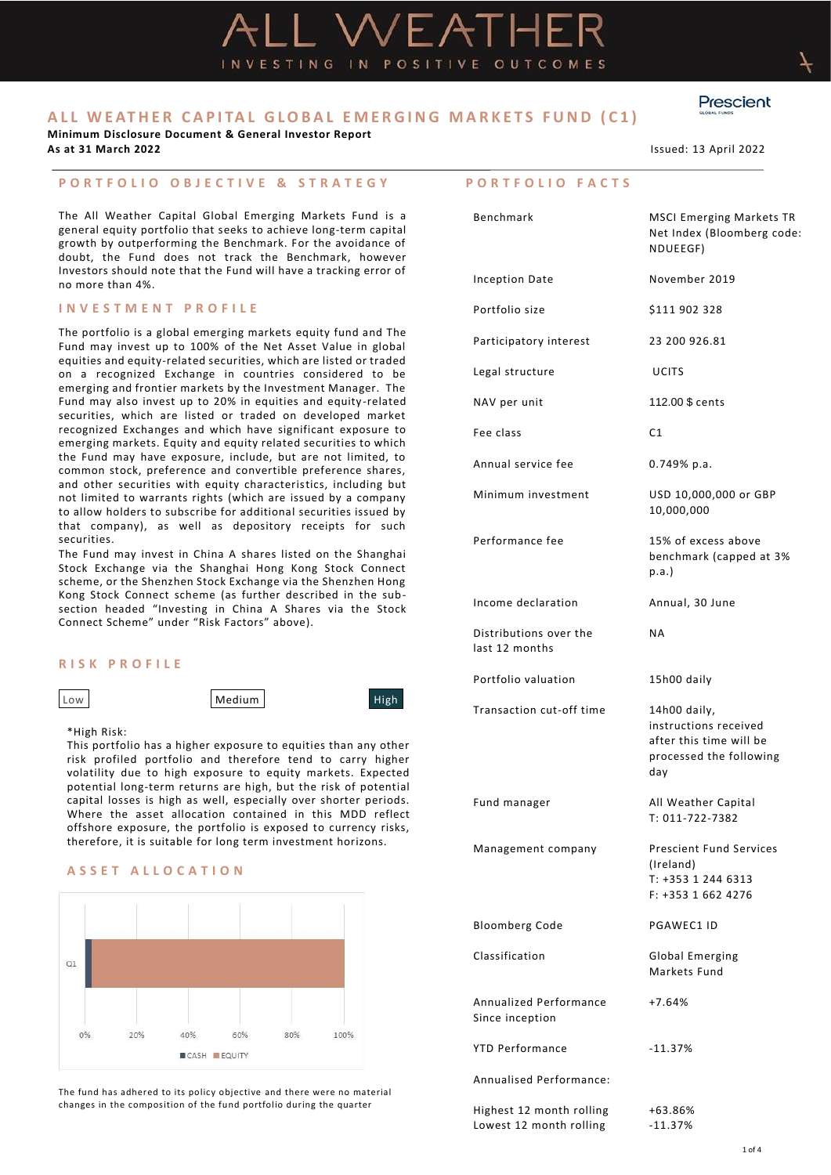VESTING IN POSITIVE OUTCOMES

**Minimum Disclosure Document & General Investor Report**

# **P O R T F O L I O O B J E C T I V E & S T R A T E G Y**

The All Weather Capital Global Emerging Markets Fund is a general equity portfolio that seeks to achieve long-term capital growth by outperforming the Benchmark. For the avoidance of doubt, the Fund does not track the Benchmark, however Investors should note that the Fund will have a tracking error of no more than 4%.

## **I N V E S T M E N T P R O F I L E**

The portfolio is a global emerging markets equity fund and The Fund may invest up to 100% of the Net Asset Value in global equities and equity-related securities, which are listed or traded on a recognized Exchange in countries considered to be emerging and frontier markets by the Investment Manager. The Fund may also invest up to 20% in equities and equity -related securities, which are listed or traded on developed market recognized Exchanges and which have significant exposure to emerging markets. Equity and equity related securities to which the Fund may have exposure, include, but are not limited, to common stock, preference and convertible preference shares, and other securities with equity characteristics, including but not limited to warrants rights (which are issued by a company to allow holders to subscribe for additional securities issued by that company), as well as depository receipts for such securities.

The Fund may invest in China A shares listed on the Shanghai Stock Exchange via the Shanghai Hong Kong Stock Connect scheme, or the Shenzhen Stock Exchange via the Shenzhen Hong Kong Stock Connect scheme (as further described in the subsection headed "Investing in China A Shares via the Stock Connect Scheme" under "Risk Factors" above).

# **R I S K P R O F I L E**

Low **Medium** Medium High

\*High Risk:

This portfolio has a higher exposure to equities than any other risk profiled portfolio and therefore tend to carry higher volatility due to high exposure to equity markets. Expected potential long-term returns are high, but the risk of potential capital losses is high as well, especially over shorter periods. Where the asset allocation contained in this MDD reflect offshore exposure, the portfolio is exposed to currency risks, therefore, it is suitable for long term investment horizons.

## **A S S E T A L L O C A T I O N**



The fund has adhered to its policy objective and there were no material changes in the composition of the fund portfolio during the quarter

**P O R T F O L I O F A C T S**

| Benchmark                                           | <b>MSCI Emerging Markets TR</b><br>Net Index (Bloomberg code:<br>NDUEEGF)                          |
|-----------------------------------------------------|----------------------------------------------------------------------------------------------------|
| Inception Date                                      | November 2019                                                                                      |
| Portfolio size                                      | \$111 902 328                                                                                      |
| Participatory interest                              | 23 200 926.81                                                                                      |
| Legal structure                                     | <b>UCITS</b>                                                                                       |
| NAV per unit                                        | 112.00 \$ cents                                                                                    |
| Fee class                                           | C1                                                                                                 |
| Annual service fee                                  | 0.749% p.a.                                                                                        |
| Minimum investment                                  | USD 10,000,000 or GBP<br>10,000,000                                                                |
| Performance fee                                     | 15% of excess above<br>benchmark (capped at 3%<br>p.a.                                             |
| Income declaration                                  | Annual, 30 June                                                                                    |
| Distributions over the<br>last 12 months            | <b>NA</b>                                                                                          |
| Portfolio valuation                                 | 15h00 daily                                                                                        |
| Transaction cut-off time                            | 14h00 daily,<br>instructions received<br>after this time will be<br>processed the following<br>day |
| Fund manager                                        | All Weather Capital<br>T: 011-722-7382                                                             |
| Management company                                  | <b>Prescient Fund Services</b><br>(Ireland)<br>T: +353 1 244 6313<br>$F: +35316624276$             |
| <b>Bloomberg Code</b>                               | PGAWEC1 ID                                                                                         |
| Classification                                      | Global Emerging<br>Markets Fund                                                                    |
| Annualized Performance<br>Since inception           | $+7.64%$                                                                                           |
| <b>YTD Performance</b>                              | $-11.37%$                                                                                          |
| Annualised Performance:                             |                                                                                                    |
| Highest 12 month rolling<br>Lowest 12 month rolling | +63.86%<br>$-11.37%$                                                                               |



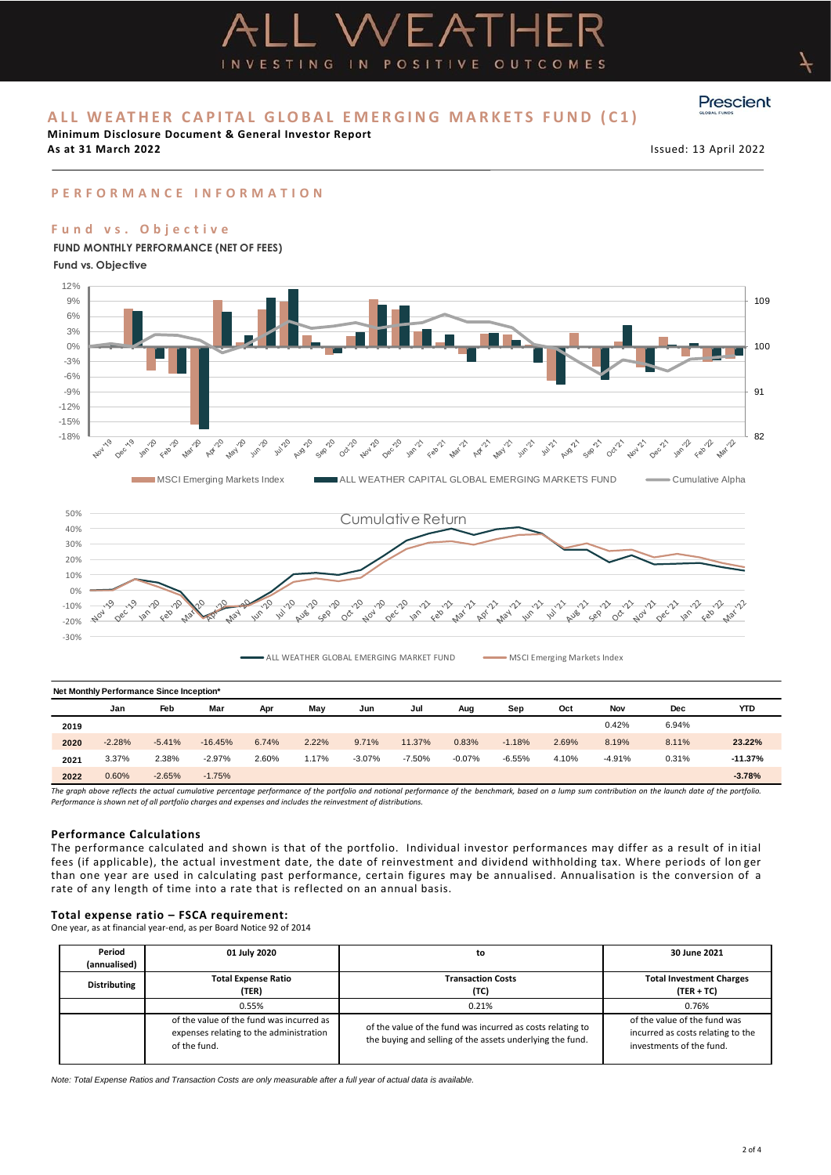**Minimum Disclosure Document & General Investor Report**

**As at 31 March 2022** Issued: 13 April 2022

Prescient

# **P E R F O R M A N C E I N F O R M A T I O N**

## **F u n d v s . O b j e c t i v e**

**Fund vs. Objective**



INVESTING IN POSITIVE OUTCOMES

ALL WEATHER GLOBAL EMERGING MARKET FUND MSCI Emerging Markets Index

| Net Monthly Performance Since Inception*                                                                                                                                                              |          |          |           |       |       |          |          |          |          |       |          |       |           |
|-------------------------------------------------------------------------------------------------------------------------------------------------------------------------------------------------------|----------|----------|-----------|-------|-------|----------|----------|----------|----------|-------|----------|-------|-----------|
|                                                                                                                                                                                                       | Jan      | Feb      | Mar       | Apr   | Mav   | Jun      | Jul      | Aug      | Sep      | Oct   | Nov      | Dec   | YTD       |
| 2019                                                                                                                                                                                                  |          |          |           |       |       |          |          |          |          |       | 0.42%    | 6.94% |           |
| 2020                                                                                                                                                                                                  | $-2.28%$ | $-5.41%$ | $-16.45%$ | 6.74% | 2.22% | 9.71%    | 11.37%   | 0.83%    | $-1.18%$ | 2.69% | 8.19%    | 8.11% | 23.22%    |
| 2021                                                                                                                                                                                                  | 3.37%    | 2.38%    | $-2.97%$  | 2.60% | 1.17% | $-3.07%$ | $-7.50%$ | $-0.07%$ | $-6.55%$ | 4.10% | $-4.91%$ | 0.31% | $-11.37%$ |
| 2022                                                                                                                                                                                                  | 0.60%    | $-2.65%$ | $-1.75%$  |       |       |          |          |          |          |       |          |       | $-3.78%$  |
| The aranh above reflects the actual cumulative percentage performance of the portfolio and notional performance of the benchmark based on a lumn sum contribution on the launch date of the portfolio |          |          |           |       |       |          |          |          |          |       |          |       |           |

The graph above reflects the actual cumulative percentage performance of the portfolio and notional performance of the benchmark, based on a lump sum contribution on the launch date of the portfolio.<br>Performance is shown n

## **Performance Calculations**

The performance calculated and shown is that of the portfolio. Individual investor performances may differ as a result of in itial fees (if applicable), the actual investment date, the date of reinvestment and dividend withholding tax. Where periods of lon ger than one year are used in calculating past performance, certain figures may be annualised. Annualisation is the conversion of a rate of any length of time into a rate that is reflected on an annual basis.

#### **Total expense ratio – FSCA requirement:**

One year, as at financial year-end, as per Board Notice 92 of 2014

| Period<br>(annualised) | 01 July 2020                                                                                                                                                                                                                   | to                               | 30 June 2021                                                                                  |  |  |
|------------------------|--------------------------------------------------------------------------------------------------------------------------------------------------------------------------------------------------------------------------------|----------------------------------|-----------------------------------------------------------------------------------------------|--|--|
| <b>Distributing</b>    | <b>Total Expense Ratio</b><br>(TER)                                                                                                                                                                                            | <b>Transaction Costs</b><br>(TC) | <b>Total Investment Charges</b><br>$(TER + TC)$                                               |  |  |
|                        | 0.55%                                                                                                                                                                                                                          | 0.21%                            | 0.76%                                                                                         |  |  |
|                        | of the value of the fund was incurred as<br>of the value of the fund was incurred as costs relating to<br>expenses relating to the administration<br>the buying and selling of the assets underlying the fund.<br>of the fund. |                                  | of the value of the fund was<br>incurred as costs relating to the<br>investments of the fund. |  |  |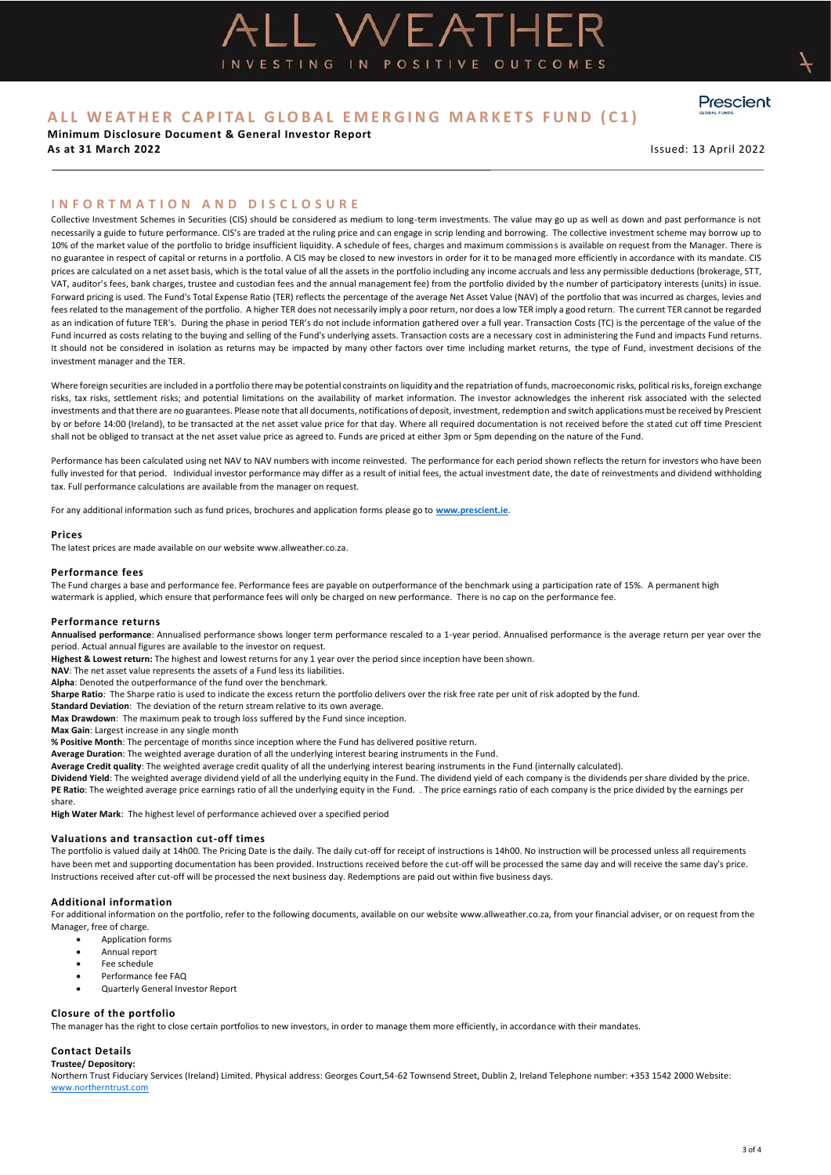**Minimum Disclosure Document & General Investor Report As at 31 March 2022** Issued: 13 April 2022

Prescient

## **I N F O R T M A T I O N A N D D I S C L O S U R E**

Collective Investment Schemes in Securities (CIS) should be considered as medium to long-term investments. The value may go up as well as down and past performance is not necessarily a guide to future performance. CIS's are traded at the ruling price and can engage in scrip lending and borrowing. The collective investment scheme may borrow up to 10% of the market value of the portfolio to bridge insufficient liquidity. A schedule of fees, charges and maximum commissions is available on request from the Manager. There is no guarantee in respect of capital or returns in a portfolio. A CIS may be closed to new investors in order for it to be managed more efficiently in accordance with its mandate. CIS prices are calculated on a net asset basis, which is the total value of all the assets in the portfolio including any income accruals and less any permissible deductions (brokerage, STT, VAT, auditor's fees, bank charges, trustee and custodian fees and the annual management fee) from the portfolio divided by the number of participatory interests (units) in issue. Forward pricing is used. The Fund's Total Expense Ratio (TER) reflects the percentage of the average Net Asset Value (NAV) of the portfolio that was incurred as charges, levies and fees related to the management of the portfolio. A higher TER does not necessarily imply a poor return, nor does a low TER imply a good return. The current TER cannot be regarded as an indication of future TER's. During the phase in period TER's do not include information gathered over a full year. Transaction Costs (TC) is the percentage of the value of the Fund incurred as costs relating to the buying and selling of the Fund's underlying assets. Transaction costs are a necessary cost in administering the Fund and impacts Fund returns. It should not be considered in isolation as returns may be impacted by many other factors over time including market returns, the type of Fund, investment decisions of the investment manager and the TER.

L WEATHE

INVESTING IN POSITIVE OUTCOMES

Where foreign securities are included in a portfolio there may be potential constraints on liquidity and the repatriation of funds, macroeconomic risks, political risks, foreign exchange risks, tax risks, settlement risks; and potential limitations on the availability of market information. The investor acknowledges the inherent risk associated with the selected investments and that there are no guarantees. Please note that all documents, notifications of deposit, investment, redemption and switch applications must be received by Prescient by or before 14:00 (Ireland), to be transacted at the net asset value price for that day. Where all required documentation is not received before the stated cut off time Prescient shall not be obliged to transact at the net asset value price as agreed to. Funds are priced at either 3pm or 5pm depending on the nature of the Fund.

Performance has been calculated using net NAV to NAV numbers with income reinvested. The performance for each period shown reflects the return for investors who have been fully invested for that period. Individual investor performance may differ as a result of initial fees, the actual investment date, the date of reinvestments and dividend withholding tax. Full performance calculations are available from the manager on request.

For any additional information such as fund prices, brochures and application forms please go to **[www.prescient.ie](http://www.prescient.ie/)**.

#### **Prices**

The latest prices are made available on our websit[e www.allweather.co.za.](http://www.allweather.co.za/) 

#### **Performance fees**

The Fund charges a base and performance fee. Performance fees are payable on outperformance of the benchmark using a participation rate of 15%. A permanent high watermark is applied, which ensure that performance fees will only be charged on new performance. There is no cap on the performance fee.

#### **Performance returns**

**Annualised performance**: Annualised performance shows longer term performance rescaled to a 1-year period. Annualised performance is the average return per year over the period. Actual annual figures are available to the investor on request.

**Highest & Lowest return:** The highest and lowest returns for any 1 year over the period since inception have been shown.

**NAV**: The net asset value represents the assets of a Fund less its liabilities.

**Alpha**: Denoted the outperformance of the fund over the benchmark.

**Sharpe Ratio**: The Sharpe ratio is used to indicate the excess return the portfolio delivers over the risk free rate per unit of risk adopted by the fund.

**Standard Deviation**: The deviation of the return stream relative to its own average.

**Max Drawdown**: The maximum peak to trough loss suffered by the Fund since inception.

**Max Gain**: Largest increase in any single month

**% Positive Month**: The percentage of months since inception where the Fund has delivered positive return.

**Average Duration**: The weighted average duration of all the underlying interest bearing instruments in the Fund.

**Average Credit quality**: The weighted average credit quality of all the underlying interest bearing instruments in the Fund (internally calculated).

**Dividend Yield**: The weighted average dividend yield of all the underlying equity in the Fund. The dividend yield of each company is the dividends per share divided by the price. **PE Ratio**: The weighted average price earnings ratio of all the underlying equity in the Fund. . The price earnings ratio of each company is the price divided by the earnings per share.

**High Water Mark**: The highest level of performance achieved over a specified period

#### **Valuations and transaction cut-off times**

The portfolio is valued daily at 14h00. The Pricing Date is the daily. The daily cut-off for receipt of instructions is 14h00. No instruction will be processed unless all requirements have been met and supporting documentation has been provided. Instructions received before the cut-off will be processed the same day and will receive the same day's price. Instructions received after cut-off will be processed the next business day. Redemptions are paid out within five business days.

#### **Additional information**

For additional information on the portfolio, refer to the following documents, available on our websit[e www.allweather.co.za,](http://www.allweather.co.za/) from your financial adviser, or on request from the Manager, free of charge.

• Application forms

- Annual report
- Fee schedule
- Performance fee FAQ
- Quarterly General Investor Report

### **Closure of the portfolio**

The manager has the right to close certain portfolios to new investors, in order to manage them more efficiently, in accordance with their mandates.

## **Contact Details**

**Trustee/ Depository:**

Northern Trust Fiduciary Services (Ireland) Limited. Physical address: Georges Court,54-62 Townsend Street, Dublin 2, Ireland Telephone number: +353 1542 2000 Website: [www.northerntrust.com](http://www.northerntrust.com/)